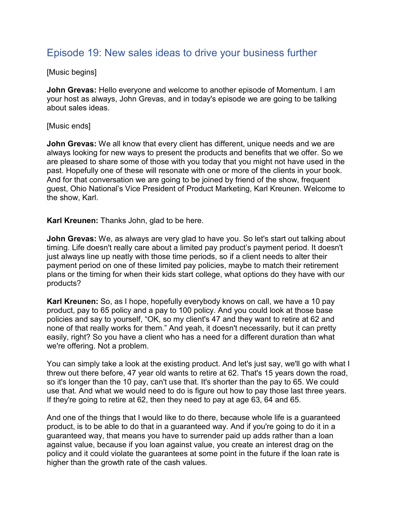## Episode 19: New sales ideas to drive your business further

[Music begins]

**John Grevas:** Hello everyone and welcome to another episode of Momentum. I am your host as always, John Grevas, and in today's episode we are going to be talking about sales ideas.

## [Music ends]

**John Grevas:** We all know that every client has different, unique needs and we are always looking for new ways to present the products and benefits that we offer. So we are pleased to share some of those with you today that you might not have used in the past. Hopefully one of these will resonate with one or more of the clients in your book. And for that conversation we are going to be joined by friend of the show, frequent guest, Ohio National's Vice President of Product Marketing, Karl Kreunen. Welcome to the show, Karl.

**Karl Kreunen:** Thanks John, glad to be here.

**John Grevas:** We, as always are very glad to have you. So let's start out talking about timing. Life doesn't really care about a limited pay product's payment period. It doesn't just always line up neatly with those time periods, so if a client needs to alter their payment period on one of these limited pay policies, maybe to match their retirement plans or the timing for when their kids start college, what options do they have with our products?

**Karl Kreunen:** So, as I hope, hopefully everybody knows on call, we have a 10 pay product, pay to 65 policy and a pay to 100 policy. And you could look at those base policies and say to yourself, "OK, so my client's 47 and they want to retire at 62 and none of that really works for them." And yeah, it doesn't necessarily, but it can pretty easily, right? So you have a client who has a need for a different duration than what we're offering. Not a problem.

You can simply take a look at the existing product. And let's just say, we'll go with what I threw out there before, 47 year old wants to retire at 62. That's 15 years down the road, so it's longer than the 10 pay, can't use that. It's shorter than the pay to 65. We could use that. And what we would need to do is figure out how to pay those last three years. If they're going to retire at 62, then they need to pay at age 63, 64 and 65.

And one of the things that I would like to do there, because whole life is a guaranteed product, is to be able to do that in a guaranteed way. And if you're going to do it in a guaranteed way, that means you have to surrender paid up adds rather than a loan against value, because if you loan against value, you create an interest drag on the policy and it could violate the guarantees at some point in the future if the loan rate is higher than the growth rate of the cash values.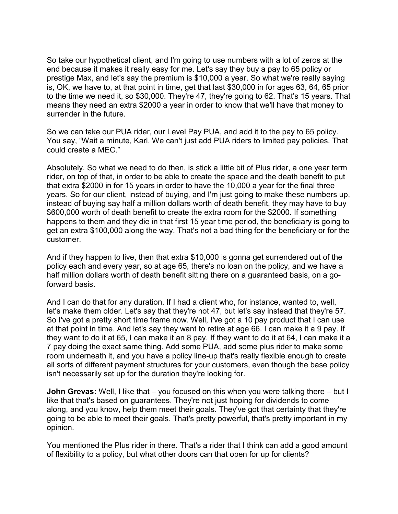So take our hypothetical client, and I'm going to use numbers with a lot of zeros at the end because it makes it really easy for me. Let's say they buy a pay to 65 policy or prestige Max, and let's say the premium is \$10,000 a year. So what we're really saying is, OK, we have to, at that point in time, get that last \$30,000 in for ages 63, 64, 65 prior to the time we need it, so \$30,000. They're 47, they're going to 62. That's 15 years. That means they need an extra \$2000 a year in order to know that we'll have that money to surrender in the future.

So we can take our PUA rider, our Level Pay PUA, and add it to the pay to 65 policy. You say, "Wait a minute, Karl. We can't just add PUA riders to limited pay policies. That could create a MEC."

Absolutely. So what we need to do then, is stick a little bit of Plus rider, a one year term rider, on top of that, in order to be able to create the space and the death benefit to put that extra \$2000 in for 15 years in order to have the 10,000 a year for the final three years. So for our client, instead of buying, and I'm just going to make these numbers up, instead of buying say half a million dollars worth of death benefit, they may have to buy \$600,000 worth of death benefit to create the extra room for the \$2000. If something happens to them and they die in that first 15 year time period, the beneficiary is going to get an extra \$100,000 along the way. That's not a bad thing for the beneficiary or for the customer.

And if they happen to live, then that extra \$10,000 is gonna get surrendered out of the policy each and every year, so at age 65, there's no loan on the policy, and we have a half million dollars worth of death benefit sitting there on a guaranteed basis, on a goforward basis.

And I can do that for any duration. If I had a client who, for instance, wanted to, well, let's make them older. Let's say that they're not 47, but let's say instead that they're 57. So I've got a pretty short time frame now. Well, I've got a 10 pay product that I can use at that point in time. And let's say they want to retire at age 66. I can make it a 9 pay. If they want to do it at 65, I can make it an 8 pay. If they want to do it at 64, I can make it a 7 pay doing the exact same thing. Add some PUA, add some plus rider to make some room underneath it, and you have a policy line-up that's really flexible enough to create all sorts of different payment structures for your customers, even though the base policy isn't necessarily set up for the duration they're looking for.

**John Grevas:** Well, I like that – you focused on this when you were talking there – but I like that that's based on guarantees. They're not just hoping for dividends to come along, and you know, help them meet their goals. They've got that certainty that they're going to be able to meet their goals. That's pretty powerful, that's pretty important in my opinion.

You mentioned the Plus rider in there. That's a rider that I think can add a good amount of flexibility to a policy, but what other doors can that open for up for clients?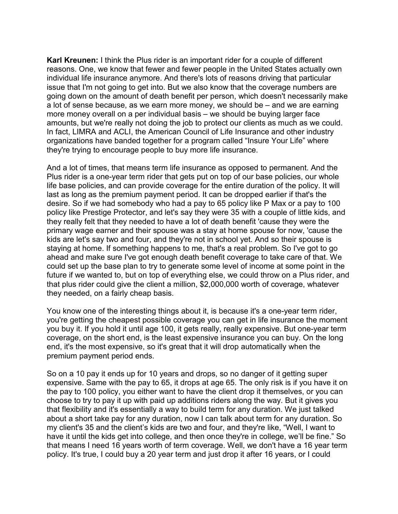**Karl Kreunen:** I think the Plus rider is an important rider for a couple of different reasons. One, we know that fewer and fewer people in the United States actually own individual life insurance anymore. And there's lots of reasons driving that particular issue that I'm not going to get into. But we also know that the coverage numbers are going down on the amount of death benefit per person, which doesn't necessarily make a lot of sense because, as we earn more money, we should be – and we are earning more money overall on a per individual basis – we should be buying larger face amounts, but we're really not doing the job to protect our clients as much as we could. In fact, LIMRA and ACLI, the American Council of Life Insurance and other industry organizations have banded together for a program called "Insure Your Life" where they're trying to encourage people to buy more life insurance.

And a lot of times, that means term life insurance as opposed to permanent. And the Plus rider is a one-year term rider that gets put on top of our base policies, our whole life base policies, and can provide coverage for the entire duration of the policy. It will last as long as the premium payment period. It can be dropped earlier if that's the desire. So if we had somebody who had a pay to 65 policy like P Max or a pay to 100 policy like Prestige Protector, and let's say they were 35 with a couple of little kids, and they really felt that they needed to have a lot of death benefit 'cause they were the primary wage earner and their spouse was a stay at home spouse for now, 'cause the kids are let's say two and four, and they're not in school yet. And so their spouse is staying at home. If something happens to me, that's a real problem. So I've got to go ahead and make sure I've got enough death benefit coverage to take care of that. We could set up the base plan to try to generate some level of income at some point in the future if we wanted to, but on top of everything else, we could throw on a Plus rider, and that plus rider could give the client a million, \$2,000,000 worth of coverage, whatever they needed, on a fairly cheap basis.

You know one of the interesting things about it, is because it's a one-year term rider, you're getting the cheapest possible coverage you can get in life insurance the moment you buy it. If you hold it until age 100, it gets really, really expensive. But one-year term coverage, on the short end, is the least expensive insurance you can buy. On the long end, it's the most expensive, so it's great that it will drop automatically when the premium payment period ends.

So on a 10 pay it ends up for 10 years and drops, so no danger of it getting super expensive. Same with the pay to 65, it drops at age 65. The only risk is if you have it on the pay to 100 policy, you either want to have the client drop it themselves, or you can choose to try to pay it up with paid up additions riders along the way. But it gives you that flexibility and it's essentially a way to build term for any duration. We just talked about a short take pay for any duration, now I can talk about term for any duration. So my client's 35 and the client's kids are two and four, and they're like, "Well, I want to have it until the kids get into college, and then once they're in college, we'll be fine." So that means I need 16 years worth of term coverage. Well, we don't have a 16 year term policy. It's true, I could buy a 20 year term and just drop it after 16 years, or I could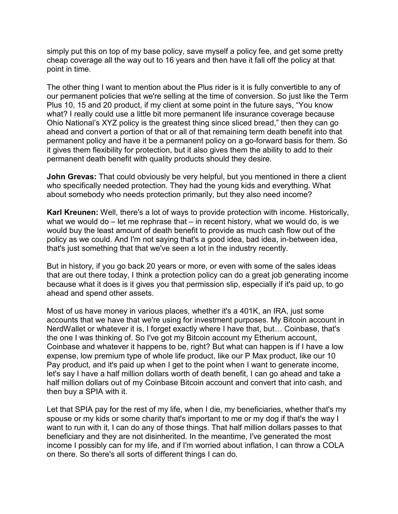simply put this on top of my base policy, save myself a policy fee, and get some pretty cheap coverage all the way out to 16 years and then have it fall off the policy at that point in time.

The other thing I want to mention about the Plus rider is it is fully convertible to any of our permanent policies that we're selling at the time of conversion. So just like the Term Plus 10, 15 and 20 product, if my client at some point in the future says, "You know what? I really could use a little bit more permanent life insurance coverage because Ohio National's XYZ policy is the greatest thing since sliced bread," then they can go ahead and convert a portion of that or all of that remaining term death benefit into that permanent policy and have it be a permanent policy on a go-forward basis for them. So it gives them flexibility for protection, but it also gives them the ability to add to their permanent death benefit with quality products should they desire.

**John Grevas:** That could obviously be very helpful, but you mentioned in there a client who specifically needed protection. They had the young kids and everything. What about somebody who needs protection primarily, but they also need income?

**Karl Kreunen:** Well, there's a lot of ways to provide protection with income. Historically, what we would do – let me rephrase that – in recent history, what we would do, is we would buy the least amount of death benefit to provide as much cash flow out of the policy as we could. And I'm not saying that's a good idea, bad idea, in-between idea, that's just something that that we've seen a lot in the industry recently.

But in history, if you go back 20 years or more, or even with some of the sales ideas that are out there today, I think a protection policy can do a great job generating income because what it does is it gives you that permission slip, especially if it's paid up, to go ahead and spend other assets.

Most of us have money in various places, whether it's a 401K, an IRA, just some accounts that we have that we're using for investment purposes. My Bitcoin account in NerdWallet or whatever it is, I forget exactly where I have that, but… Coinbase, that's the one I was thinking of. So I've got my Bitcoin account my Etherium account, Coinbase and whatever it happens to be, right? But what can happen is if I have a low expense, low premium type of whole life product, like our P Max product, like our 10 Pay product, and it's paid up when I get to the point when I want to generate income, let's say I have a half million dollars worth of death benefit, I can go ahead and take a half million dollars out of my Coinbase Bitcoin account and convert that into cash, and then buy a SPIA with it.

Let that SPIA pay for the rest of my life, when I die, my beneficiaries, whether that's my spouse or my kids or some charity that's important to me or my dog if that's the way I want to run with it, I can do any of those things. That half million dollars passes to that beneficiary and they are not disinherited. In the meantime, I've generated the most income I possibly can for my life, and if I'm worried about inflation, I can throw a COLA on there. So there's all sorts of different things I can do.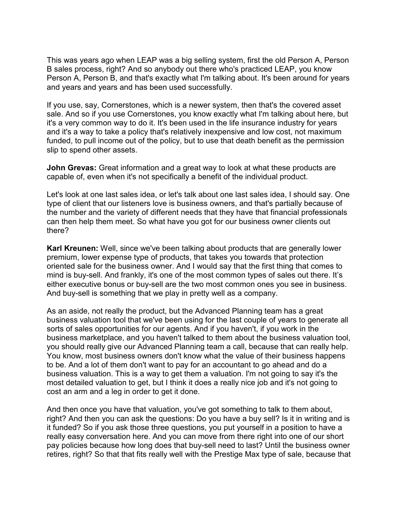This was years ago when LEAP was a big selling system, first the old Person A, Person B sales process, right? And so anybody out there who's practiced LEAP, you know Person A, Person B, and that's exactly what I'm talking about. It's been around for years and years and years and has been used successfully.

If you use, say, Cornerstones, which is a newer system, then that's the covered asset sale. And so if you use Cornerstones, you know exactly what I'm talking about here, but it's a very common way to do it. It's been used in the life insurance industry for years and it's a way to take a policy that's relatively inexpensive and low cost, not maximum funded, to pull income out of the policy, but to use that death benefit as the permission slip to spend other assets.

**John Grevas:** Great information and a great way to look at what these products are capable of, even when it's not specifically a benefit of the individual product.

Let's look at one last sales idea, or let's talk about one last sales idea, I should say. One type of client that our listeners love is business owners, and that's partially because of the number and the variety of different needs that they have that financial professionals can then help them meet. So what have you got for our business owner clients out there?

**Karl Kreunen:** Well, since we've been talking about products that are generally lower premium, lower expense type of products, that takes you towards that protection oriented sale for the business owner. And I would say that the first thing that comes to mind is buy-sell. And frankly, it's one of the most common types of sales out there. It's either executive bonus or buy-sell are the two most common ones you see in business. And buy-sell is something that we play in pretty well as a company.

As an aside, not really the product, but the Advanced Planning team has a great business valuation tool that we've been using for the last couple of years to generate all sorts of sales opportunities for our agents. And if you haven't, if you work in the business marketplace, and you haven't talked to them about the business valuation tool, you should really give our Advanced Planning team a call, because that can really help. You know, most business owners don't know what the value of their business happens to be. And a lot of them don't want to pay for an accountant to go ahead and do a business valuation. This is a way to get them a valuation. I'm not going to say it's the most detailed valuation to get, but I think it does a really nice job and it's not going to cost an arm and a leg in order to get it done.

And then once you have that valuation, you've got something to talk to them about, right? And then you can ask the questions: Do you have a buy sell? Is it in writing and is it funded? So if you ask those three questions, you put yourself in a position to have a really easy conversation here. And you can move from there right into one of our short pay policies because how long does that buy-sell need to last? Until the business owner retires, right? So that that fits really well with the Prestige Max type of sale, because that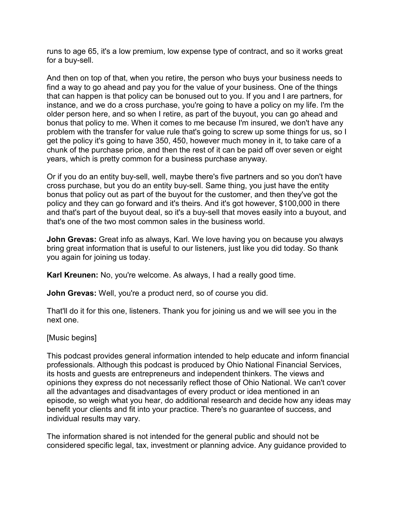runs to age 65, it's a low premium, low expense type of contract, and so it works great for a buy-sell.

And then on top of that, when you retire, the person who buys your business needs to find a way to go ahead and pay you for the value of your business. One of the things that can happen is that policy can be bonused out to you. If you and I are partners, for instance, and we do a cross purchase, you're going to have a policy on my life. I'm the older person here, and so when I retire, as part of the buyout, you can go ahead and bonus that policy to me. When it comes to me because I'm insured, we don't have any problem with the transfer for value rule that's going to screw up some things for us, so I get the policy it's going to have 350, 450, however much money in it, to take care of a chunk of the purchase price, and then the rest of it can be paid off over seven or eight years, which is pretty common for a business purchase anyway.

Or if you do an entity buy-sell, well, maybe there's five partners and so you don't have cross purchase, but you do an entity buy-sell. Same thing, you just have the entity bonus that policy out as part of the buyout for the customer, and then they've got the policy and they can go forward and it's theirs. And it's got however, \$100,000 in there and that's part of the buyout deal, so it's a buy-sell that moves easily into a buyout, and that's one of the two most common sales in the business world.

**John Grevas:** Great info as always, Karl. We love having you on because you always bring great information that is useful to our listeners, just like you did today. So thank you again for joining us today.

**Karl Kreunen:** No, you're welcome. As always, I had a really good time.

**John Grevas:** Well, you're a product nerd, so of course you did.

That'll do it for this one, listeners. Thank you for joining us and we will see you in the next one.

[Music begins]

This podcast provides general information intended to help educate and inform financial professionals. Although this podcast is produced by Ohio National Financial Services, its hosts and guests are entrepreneurs and independent thinkers. The views and opinions they express do not necessarily reflect those of Ohio National. We can't cover all the advantages and disadvantages of every product or idea mentioned in an episode, so weigh what you hear, do additional research and decide how any ideas may benefit your clients and fit into your practice. There's no guarantee of success, and individual results may vary.

The information shared is not intended for the general public and should not be considered specific legal, tax, investment or planning advice. Any guidance provided to